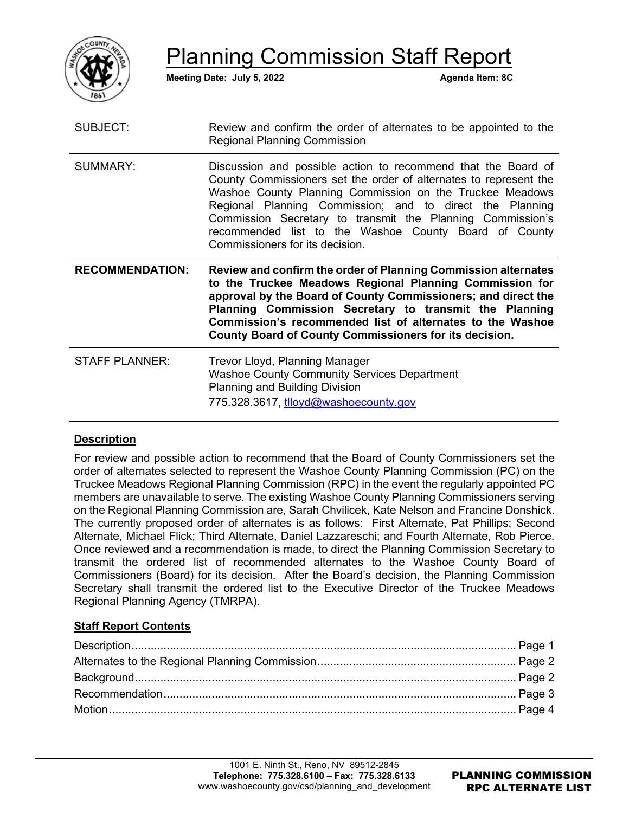

Planning Commission Staff Report

**Meeting Date: July 5, 2022 Agenda Item: 8C** 

| SUBJECT:               | Review and confirm the order of alternates to be appointed to the<br><b>Regional Planning Commission</b>                                                                                                                                                                                                                                                                                                             |
|------------------------|----------------------------------------------------------------------------------------------------------------------------------------------------------------------------------------------------------------------------------------------------------------------------------------------------------------------------------------------------------------------------------------------------------------------|
| <b>SUMMARY:</b>        | Discussion and possible action to recommend that the Board of<br>County Commissioners set the order of alternates to represent the<br>Washoe County Planning Commission on the Truckee Meadows<br>Regional Planning Commission; and to direct the Planning<br>Commission Secretary to transmit the Planning Commission's<br>recommended list to the Washoe County Board of County<br>Commissioners for its decision. |
|                        |                                                                                                                                                                                                                                                                                                                                                                                                                      |
| <b>RECOMMENDATION:</b> | Review and confirm the order of Planning Commission alternates<br>to the Truckee Meadows Regional Planning Commission for<br>approval by the Board of County Commissioners; and direct the<br>Planning Commission Secretary to transmit the Planning<br>Commission's recommended list of alternates to the Washoe<br><b>County Board of County Commissioners for its decision.</b>                                   |

# **Description**

For review and possible action to recommend that the Board of County Commissioners set the order of alternates selected to represent the Washoe County Planning Commission (PC) on the Truckee Meadows Regional Planning Commission (RPC) in the event the regularly appointed PC members are unavailable to serve. The existing Washoe County Planning Commissioners serving on the Regional Planning Commission are, Sarah Chvilicek, Kate Nelson and Francine Donshick. The currently proposed order of alternates is as follows: First Alternate, Pat Phillips; Second Alternate, Michael Flick; Third Alternate, Daniel Lazzareschi; and Fourth Alternate, Rob Pierce. Once reviewed and a recommendation is made, to direct the Planning Commission Secretary to transmit the ordered list of recommended alternates to the Washoe County Board of Commissioners (Board) for its decision. After the Board's decision, the Planning Commission Secretary shall transmit the ordered list to the Executive Director of the Truckee Meadows Regional Planning Agency (TMRPA).

## **Staff Report Contents**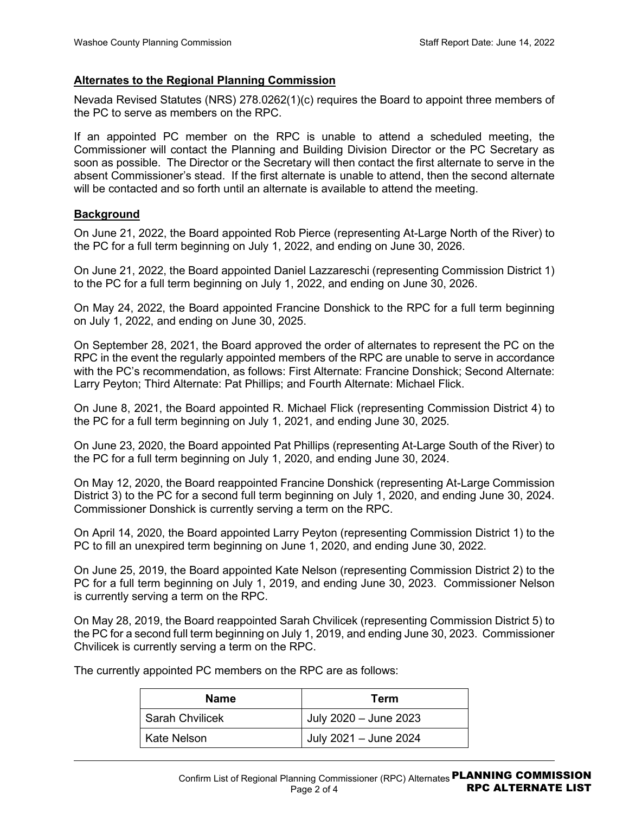#### **Alternates to the Regional Planning Commission**

Nevada Revised Statutes (NRS) 278.0262(1)(c) requires the Board to appoint three members of the PC to serve as members on the RPC.

If an appointed PC member on the RPC is unable to attend a scheduled meeting, the Commissioner will contact the Planning and Building Division Director or the PC Secretary as soon as possible. The Director or the Secretary will then contact the first alternate to serve in the absent Commissioner's stead. If the first alternate is unable to attend, then the second alternate will be contacted and so forth until an alternate is available to attend the meeting.

#### **Background**

On June 21, 2022, the Board appointed Rob Pierce (representing At-Large North of the River) to the PC for a full term beginning on July 1, 2022, and ending on June 30, 2026.

On June 21, 2022, the Board appointed Daniel Lazzareschi (representing Commission District 1) to the PC for a full term beginning on July 1, 2022, and ending on June 30, 2026.

On May 24, 2022, the Board appointed Francine Donshick to the RPC for a full term beginning on July 1, 2022, and ending on June 30, 2025.

On September 28, 2021, the Board approved the order of alternates to represent the PC on the RPC in the event the regularly appointed members of the RPC are unable to serve in accordance with the PC's recommendation, as follows: First Alternate: Francine Donshick; Second Alternate: Larry Peyton; Third Alternate: Pat Phillips; and Fourth Alternate: Michael Flick.

On June 8, 2021, the Board appointed R. Michael Flick (representing Commission District 4) to the PC for a full term beginning on July 1, 2021, and ending June 30, 2025.

On June 23, 2020, the Board appointed Pat Phillips (representing At-Large South of the River) to the PC for a full term beginning on July 1, 2020, and ending June 30, 2024.

On May 12, 2020, the Board reappointed Francine Donshick (representing At-Large Commission District 3) to the PC for a second full term beginning on July 1, 2020, and ending June 30, 2024. Commissioner Donshick is currently serving a term on the RPC.

On April 14, 2020, the Board appointed Larry Peyton (representing Commission District 1) to the PC to fill an unexpired term beginning on June 1, 2020, and ending June 30, 2022.

On June 25, 2019, the Board appointed Kate Nelson (representing Commission District 2) to the PC for a full term beginning on July 1, 2019, and ending June 30, 2023. Commissioner Nelson is currently serving a term on the RPC.

On May 28, 2019, the Board reappointed Sarah Chvilicek (representing Commission District 5) to the PC for a second full term beginning on July 1, 2019, and ending June 30, 2023. Commissioner Chvilicek is currently serving a term on the RPC.

The currently appointed PC members on the RPC are as follows:

| <b>Name</b>            | Term                  |
|------------------------|-----------------------|
| <b>Sarah Chvilicek</b> | July 2020 - June 2023 |
| Kate Nelson            | July 2021 - June 2024 |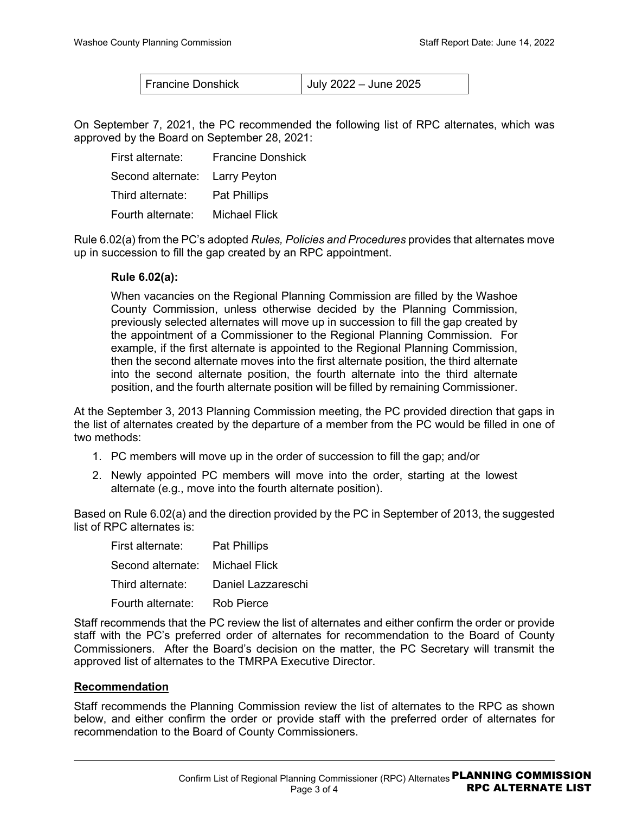Francine Donshick July 2022 – June 2025

On September 7, 2021, the PC recommended the following list of RPC alternates, which was approved by the Board on September 28, 2021:

| First alternate:               | <b>Francine Donshick</b> |
|--------------------------------|--------------------------|
| Second alternate: Larry Peyton |                          |
| Third alternate:               | <b>Pat Phillips</b>      |
| Fourth alternate:              | Michael Flick            |

Rule 6.02(a) from the PC's adopted *Rules, Policies and Procedures* provides that alternates move up in succession to fill the gap created by an RPC appointment.

## **Rule 6.02(a):**

When vacancies on the Regional Planning Commission are filled by the Washoe County Commission, unless otherwise decided by the Planning Commission, previously selected alternates will move up in succession to fill the gap created by the appointment of a Commissioner to the Regional Planning Commission. For example, if the first alternate is appointed to the Regional Planning Commission, then the second alternate moves into the first alternate position, the third alternate into the second alternate position, the fourth alternate into the third alternate position, and the fourth alternate position will be filled by remaining Commissioner.

At the September 3, 2013 Planning Commission meeting, the PC provided direction that gaps in the list of alternates created by the departure of a member from the PC would be filled in one of two methods:

- 1. PC members will move up in the order of succession to fill the gap; and/or
- 2. Newly appointed PC members will move into the order, starting at the lowest alternate (e.g., move into the fourth alternate position).

Based on Rule 6.02(a) and the direction provided by the PC in September of 2013, the suggested list of RPC alternates is:

| First alternate:                 | <b>Pat Phillips</b> |
|----------------------------------|---------------------|
| Second alternate:  Michael Flick |                     |
| Third alternate:                 | Daniel Lazzareschi  |
| Fourth alternate:                | <b>Rob Pierce</b>   |

Staff recommends that the PC review the list of alternates and either confirm the order or provide staff with the PC's preferred order of alternates for recommendation to the Board of County Commissioners. After the Board's decision on the matter, the PC Secretary will transmit the approved list of alternates to the TMRPA Executive Director.

#### **Recommendation**

Staff recommends the Planning Commission review the list of alternates to the RPC as shown below, and either confirm the order or provide staff with the preferred order of alternates for recommendation to the Board of County Commissioners.